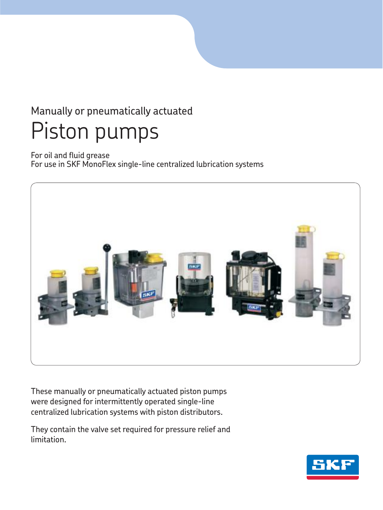# Manually or pneumatically actuated Piston pumps

For oil and fluid grease For use in SKF MonoFlex single-line centralized lubrication systems



These manually or pneumatically actuated piston pumps were designed for intermittently operated single-line centralized lubrication systems with piston distributors.

They contain the valve set required for pressure relief and limitation.

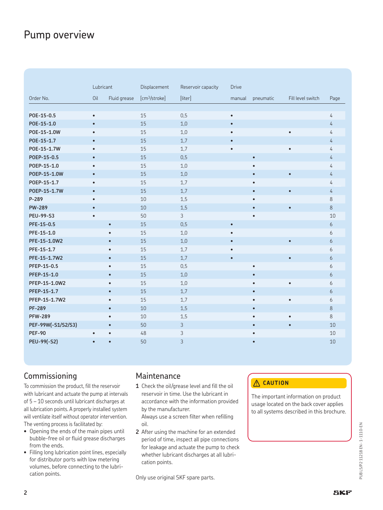### Pump overview

|                    | Lubricant |              | Displacement              | Reservoir capacity | <b>Drive</b> |           |                   |         |
|--------------------|-----------|--------------|---------------------------|--------------------|--------------|-----------|-------------------|---------|
| Order No.          | Oil       | Fluid grease | [cm <sup>3</sup> /stroke] | [liter]            | manual       | pneumatic | Fill level switch | Page    |
|                    |           |              |                           |                    |              |           |                   |         |
| POE-15-0.5         | $\bullet$ |              | 15                        | 0,5                | $\bullet$    |           |                   | 4       |
| POE-15-1.0         | $\bullet$ |              | 15                        | 1,0                | $\bullet$    |           |                   | 4       |
| P0E-15-1.0W        | $\bullet$ |              | 15                        | 1,0                |              |           | $\bullet$         | 4       |
| P0E-15-1.7         | $\bullet$ |              | 15                        | 1,7                | $\bullet$    |           |                   | 4       |
| P0E-15-1.7W        | $\bullet$ |              | 15                        | 1,7                | $\bullet$    |           | $\bullet$         | 4       |
| POEP-15-0.5        | $\bullet$ |              | 15                        | 0,5                |              | $\bullet$ |                   | 4       |
| POEP-15-1.0        | $\bullet$ |              | 15                        | 1,0                |              |           |                   | 4       |
| P0EP-15-1.0W       | $\bullet$ |              | 15                        | 1,0                |              | $\bullet$ | $\bullet$         | 4       |
| POEP-15-1.7        | $\bullet$ |              | 15                        | 1,7                |              |           |                   | 4       |
| P0EP-15-1.7W       | $\bullet$ |              | 15                        | 1,7                |              | $\bullet$ | $\bullet$         | 4       |
| P-289              | $\bullet$ |              | 10                        | 1,5                |              | $\bullet$ |                   | $\,8\,$ |
| <b>PW-289</b>      | $\bullet$ |              | 10                        | 1,5                |              |           | $\bullet$         | 8       |
| <b>PEU-99-S3</b>   | ٠         |              | 50                        | $\mathfrak{Z}$     |              |           |                   | 10      |
| PFE-15-0.5         |           | $\bullet$    | 15                        | 0,5                | $\bullet$    |           |                   | 6       |
| PFE-15-1.0         |           | $\bullet$    | 15                        | 1,0                |              |           |                   | 6       |
| PFE-15-1.0W2       |           | $\bullet$    | 15                        | 1,0                | $\bullet$    |           | $\bullet$         | 6       |
| PFE-15-1.7         |           | $\bullet$    | 15                        | 1,7                | $\bullet$    |           |                   | 6       |
| PFE-15-1.7W2       |           | $\bullet$    | 15                        | 1,7                | $\bullet$    |           | $\bullet$         | 6       |
| PFEP-15-0.5        |           | $\bullet$    | 15                        | 0,5                |              |           |                   | 6       |
| PFEP-15-1.0        |           | $\bullet$    | 15                        | 1,0                |              | $\bullet$ |                   | 6       |
| PFEP-15-1.0W2      |           | $\bullet$    | 15                        | 1,0                |              | $\bullet$ | $\bullet$         | 6       |
| PFEP-15-1.7        |           | $\bullet$    | 15                        | 1,7                |              | $\bullet$ |                   | 6       |
| PFEP-15-1.7W2      |           | $\bullet$    | 15                        | 1,7                |              | $\bullet$ | $\bullet$         | 6       |
| <b>PF-289</b>      |           | $\bullet$    | 10                        | 1,5                |              | $\bullet$ |                   | $8\,$   |
| <b>PFW-289</b>     |           | $\bullet$    | 10                        | 1,5                |              | $\bullet$ | $\bullet$         | 8       |
| PEF-99W(-S1/S2/S3) |           | $\bullet$    | 50                        | 3                  |              |           |                   | 10      |
| <b>PEF-90</b>      | $\bullet$ | $\bullet$    | 48                        | 3                  |              |           |                   | 10      |
| PEU-99(-S2)        | $\bullet$ | $\bullet$    | 50                        | 3                  |              | $\bullet$ |                   | 10      |

### Commissioning

To commission the product, fill the reservoir with lubricant and actuate the pump at intervals of 5 – 10 seconds until lubricant discharges at all lubrication points. A properly installed system will ventilate itself without operator intervention. The venting process is facilitated by:

- Opening the ends of the main pipes until bubble-free oil or fluid grease discharges from the ends.
- Filling long lubrication point lines, especially for distributor ports with low metering volumes, before connecting to the lubrication points.

### Maintenance

**1** Check the oil/grease level and fill the oil reservoir in time. Use the lubricant in accordance with the information provided by the manufacturer.

Always use a screen filter when refilling oil.

**2** After using the machine for an extended period of time, inspect all pipe connections for leakage and actuate the pump to check whether lubricant discharges at all lubrication points.

Only use original SKF spare parts.

#### **CAUTION**

The important information on product usage located on the back cover applies to all systems described in this brochure.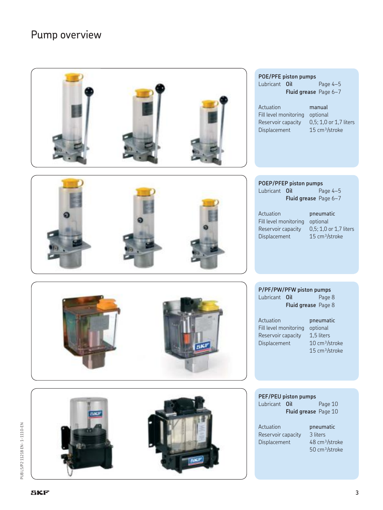## Pump overview

| POE/PFE piston pumps<br>Lubricant Oil<br>Page 4-5<br>Fluid grease Page 6-7<br>Actuation<br>manual<br>Fill level monitoring<br>optional<br>0,5; 1,0 or 1,7 liters<br>Reservoir capacity<br>15 cm <sup>3</sup> /stroke<br>Displacement                      |
|-----------------------------------------------------------------------------------------------------------------------------------------------------------------------------------------------------------------------------------------------------------|
| POEP/PFEP piston pumps<br>Page 4-5<br>Lubricant Oil<br>Fluid grease Page 6-7<br>Actuation<br>pneumatic<br>Fill level monitoring<br>optional<br>0,5; 1,0 or 1,7 liters<br>Reservoir capacity<br>Displacement<br>15 cm <sup>3</sup> /stroke                 |
| P/PF/PW/PFW piston pumps<br>Lubricant Oil<br>Page 8<br>Fluid grease Page 8<br>Actuation<br>pneumatic<br>Fill level monitoring<br>optional<br>Reservoir capacity<br>1,5 liters<br>10 cm <sup>3</sup> /stroke<br>Displacement<br>15 cm <sup>3</sup> /stroke |
| PEF/PEU piston pumps<br>Lubricant Oil<br>Page 10<br>Fluid grease Page 10<br>Actuation<br>pneumatic<br>Reservoir capacity<br>3 liters<br>48 cm <sup>3</sup> /stroke<br>Displacement<br>50 cm <sup>3</sup> /stroke                                          |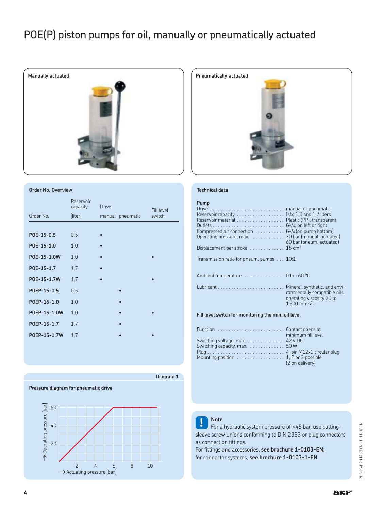## POE(P) piston pumps for oil, manually or pneumatically actuated



#### **Order No. Overview**

| Order No.    | Reservoir<br>capacity<br>[liter] | <b>Drive</b><br>manual pneumatic | Fill level<br>switch |
|--------------|----------------------------------|----------------------------------|----------------------|
|              |                                  |                                  |                      |
| POE-15-0.5   | 0,5                              |                                  |                      |
| POE-15-1.0   | 1,0                              |                                  |                      |
| P0E-15-1.0W  | 1,0                              |                                  |                      |
| POE-15-1.7   | 1,7                              |                                  |                      |
| P0E-15-1.7W  | 1,7                              |                                  |                      |
| POEP-15-0.5  | 0,5                              |                                  |                      |
| POEP-15-1.0  | 1,0                              | $\bullet$                        |                      |
| P0EP-15-1.0W | 1,0                              | $\bullet$                        |                      |
| P0EP-15-1.7  | 1,7                              | $\bullet$                        |                      |
| P0EP-15-1.7W | 1,7                              |                                  |                      |



#### **Technical data**

#### **Pump**

| Former and a said.                                                                                                                  | $C = 12.1$ $\pm 12.1$                                                                  |
|-------------------------------------------------------------------------------------------------------------------------------------|----------------------------------------------------------------------------------------|
| Fill level switch for monitoring the min. oil level                                                                                 |                                                                                        |
|                                                                                                                                     | ronmentally compatible oils.<br>operating viscosity 20 to<br>$1500$ mm <sup>2</sup> /s |
| Ambient temperature 0 to +60 °C                                                                                                     |                                                                                        |
| Transmission ratio for pneum. pumps $\ldots$ 10:1                                                                                   |                                                                                        |
| Displacement per stroke  15 cm <sup>3</sup>                                                                                         |                                                                                        |
| Compressed air connection $\ldots \ldots \ldots$ . $G^{1/4}$ (on pump bottom)<br>Operating pressure, max. 30 bar (manual. actuated) | 60 bar (pneum. actuated)                                                               |
|                                                                                                                                     |                                                                                        |
| Reservoir capacity 0,5; 1,0 and 1,7 liters<br>Reservoir material Plastic (PP), transparent                                          |                                                                                        |
|                                                                                                                                     |                                                                                        |

|                                                                           | minimum fill level |
|---------------------------------------------------------------------------|--------------------|
| Switching voltage, $max.$ 42 V DC                                         |                    |
| Switching capacity, $max.$ 50 W                                           |                    |
|                                                                           |                    |
| Mounting position $\ldots \ldots \ldots \ldots \ldots$ 1, 2 or 3 possible |                    |
|                                                                           | (2 on delivery)    |
|                                                                           |                    |

### **Pressure diagram for pneumatic drive** A Operating pressure [bar] **†**Operating pressure [bar] % # 20 2 4 6 8 10 **†** Actuating pressure [bar]

**Diagram 1**

**! Note** For a hydraulic system pressure of >45 bar, use cuttingsleeve screw unions conforming to DIN 2353 or plug connectors as connection fittings.

For fittings and accessories, **see brochure 1-0103-EN**; for connector systems, **see brochure 1-0103-1-EN**.

PUB LS/P2 11218 EN - 1-1110-EN PUB LS/P2 11218 EN · 1-1110-EN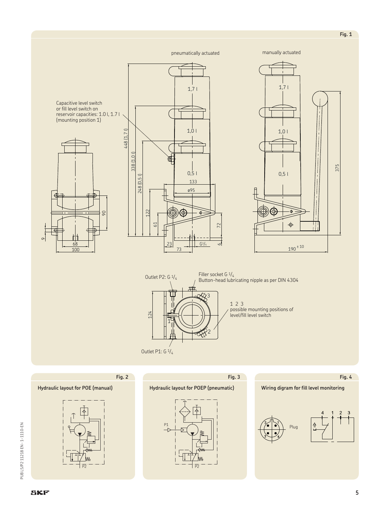Capacitive level switch or fill level switch on reservoir capacities: 1.0 l, 1.7 l (mounting position 1)







3 2 1 124 Filler socket G  $\frac{1}{4}$ <br>Button-head lubricating nipple as per DIN 4304 Outlet P1: G 1/4 Outlet P2:  $G_1/4$ 1 2 3 possible mounting positions of level/fill level switch

**Fig. 3**

**Fig. 2**

#### **Hydraulic layout for POE (manual)**







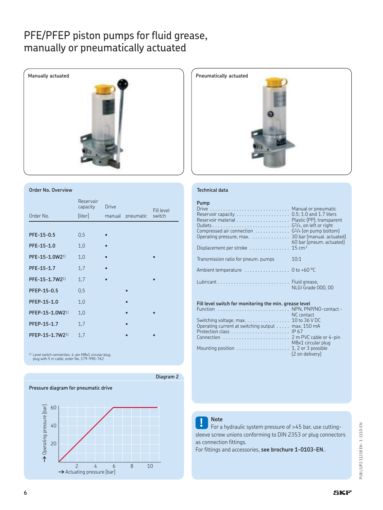### PFE/PFEP piston pumps for fluid grease, manually or pneumatically actuated



#### **Order No. Overview**

|                             | Reservoir<br>capacity | <b>Drive</b> |           | <b>Fill level</b> |
|-----------------------------|-----------------------|--------------|-----------|-------------------|
| Order No.                   | [liter]               | manual       | pneumatic | switch            |
|                             |                       |              |           |                   |
| PFE-15-0.5                  | 0,5                   | $\bullet$    |           |                   |
| PFE-15-1.0                  | 1,0                   |              |           |                   |
| PFE-15-1.0W21)              | 1,0                   | $\bullet$    |           |                   |
| PFE-15-1.7                  | 1,7                   |              |           |                   |
| PFE-15-1.7W2 <sup>1)</sup>  | 1,7                   |              |           |                   |
| PFEP-15-0.5                 | 0,5                   |              | $\bullet$ |                   |
| PFEP-15-1.0                 | 1,0                   |              | $\bullet$ |                   |
| PFEP-15-1.0W21)             | 1,0                   |              | $\bullet$ |                   |
| PFEP-15-1.7                 | 1,7                   |              |           |                   |
| PFEP-15-1.7W2 <sup>1)</sup> | 1,7                   |              |           |                   |

1) Level switch connection, 4-pin M8x1 circular plug, plug with 5 m cable, order No. 179-990-762





#### **Technical data**

#### **Pump**

| Drive  Manual or pneumatic                                                       |                          |
|----------------------------------------------------------------------------------|--------------------------|
| Compressed air connection $\ldots \ldots \ldots \ldots$ $G^1/4$ (on pump bottom) |                          |
| Displacement per stroke $\dots\dots\dots\dots\dots$ 15 cm <sup>3</sup>           | 60 bar (pneum. actuated) |
| Transmission ratio for pneum. pumps                                              | 10:1                     |
| Ambient temperature  0 to +60 °C                                                 |                          |
|                                                                                  | NLGI Grade 000, 00       |

#### **Fill level switch for monitoring the min. grease level**

|                                                   | NC contact         |
|---------------------------------------------------|--------------------|
|                                                   |                    |
| Operating current at switching output max. 150 mA |                    |
|                                                   |                    |
|                                                   |                    |
|                                                   | M8x1 circular plug |
|                                                   | (2 on delivery)    |
|                                                   |                    |



### **! Note** For a hydraulic system pressure of >45 bar, use cuttingsleeve screw unions conforming to DIN 2353 or plug connectors as connection fittings.

For fittings and accessories, **see brochure 1-0103-EN**..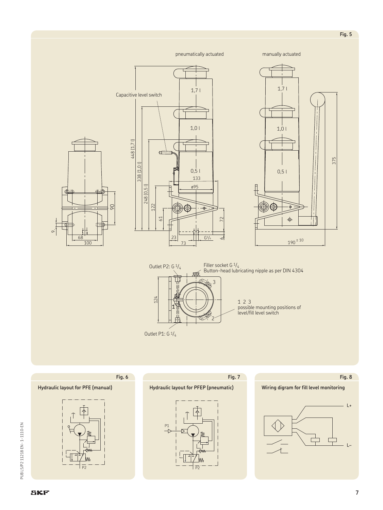

Outlet P1: G 1/4

1 2 3<br>possible mounting positions of<br>level/fill level switch



PUB LS/P2 11218 EN - 1-1110-EN

 $\sigma$ 

375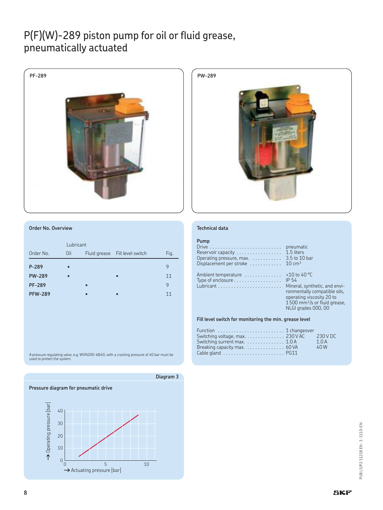### P(F)(W)-289 piston pump for oil or fluid grease, pneumatically actuated





#### **Order No. Overview**

|                | Lubricant |                                |      |
|----------------|-----------|--------------------------------|------|
| Order No.      | Oil       | Fluid grease Fill level switch | Fig. |
| P-289          | $\bullet$ |                                | 9    |
| <b>PW-289</b>  |           | $\bullet$                      | 11   |
| <b>PF-289</b>  |           |                                | 9    |
| <b>PFW-289</b> |           |                                | 11   |

A pressure regulating valve, e.g. WVN200-6B40, with a cracking pressure of 40 bar must be used to protect the system.



#### **Technical data**

#### **Pump**

| Reservoir capacity  1.5 liters<br>Operating pressure, max. $\ldots \ldots \ldots$ 3.5 to 10 bar<br>Displacement per stroke $\dots\dots\dots\dots$ 10 cm <sup>3</sup> |                                                                                                                                                                                                    |
|----------------------------------------------------------------------------------------------------------------------------------------------------------------------|----------------------------------------------------------------------------------------------------------------------------------------------------------------------------------------------------|
| Ambient temperature<br>Type of enclosure $\dots\dots\dots\dots\dots\dots\dots$                                                                                       | +10 to 40 $^{\circ}$ C<br>IP 54<br>Mineral, synthetic, and envi-<br>ronmentally compatible oils,<br>operating viscosity 20 to<br>$1500$ mm <sup>2</sup> /s or fluid grease,<br>NLGI grades 000, 00 |

**Fill level switch for monitoring the min. grease level**

| Function  1 changeover                    |      |
|-------------------------------------------|------|
| Switching voltage, max. 230 V AC 230 V DC |      |
| Switching surrent max. 1.0 A              | 1.0A |
| Breaking capacity max. 60 VA              | 40 W |
|                                           |      |

**8**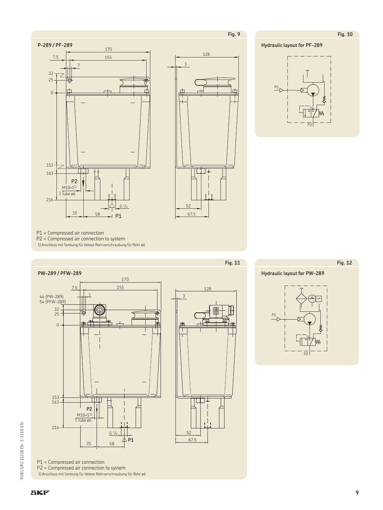Fig. 10

**Hydraulic layout for PF-289** 







 $P1 = Compressed air connection  
 $P2 = Compressed air connection to system$$ 1) Anschluss mit Senkung für lötlose Rohrverschraubung für Rohr ø6



P1 = Compressed air connection<br>P2 = Compressed air connection to system 1) Anschluss mit Senkung für lötlose Rohrverschraubung für Rohr ø6



Fig. 11

**Hydraulic layout for PW-289** 

**Fig. 12** 

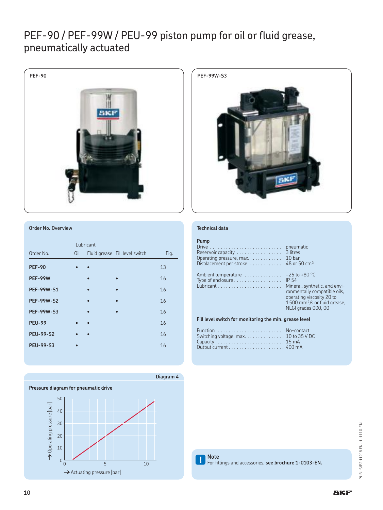### PEF-90 / PEF-99W / PEU-99 piston pump for oil or fluid grease, pneumatically actuated





|                   |     | Lubricant |                                |      |
|-------------------|-----|-----------|--------------------------------|------|
| Order No.         | Oil |           | Fluid grease Fill level switch | Fig. |
| <b>PEF-90</b>     |     |           |                                | 13   |
| <b>PEF-99W</b>    |     | ō         | $\bullet$                      | 16   |
| <b>PEF-99W-S1</b> |     |           |                                | 16   |
| <b>PEF-99W-S2</b> |     |           |                                | 16   |
| <b>PEF-99W-S3</b> |     |           |                                | 16   |
| <b>PEU-99</b>     |     |           |                                | 16   |
| <b>PEU-99-S2</b>  |     |           |                                | 16   |
| <b>PEU-99-S3</b>  |     |           |                                | 16   |
|                   |     |           |                                |      |

**Pressure diagram for pneumatic drive** \$





#### **Technical data**

#### **Pump**

**Diagram 4**

| Reservoir capacity $\dots\dots\dots\dots\dots\dots$<br>Operating pressure, max.<br>Displacement per stroke $\dots\dots\dots\dots$ 48 or 50 cm <sup>3</sup> | pneumatic<br>3 litres<br>10 <sub>bar</sub>                                                                                                                               |  |
|------------------------------------------------------------------------------------------------------------------------------------------------------------|--------------------------------------------------------------------------------------------------------------------------------------------------------------------------|--|
| Ambient temperature $\ldots \ldots \ldots -25$ to +80 °C<br>Type of enclosure                                                                              | IP 54<br>Mineral, synthetic, and envi-<br>ronmentally compatible oils,<br>operating viscosity 20 to<br>$1500$ mm <sup>2</sup> /s or fluid grease,<br>NLGI grades 000, 00 |  |
| Fill level switch for monitoring the min. grease level                                                                                                     |                                                                                                                                                                          |  |

| Switching voltage, max. $\ldots$ . 10 to 35 V DC |  |
|--------------------------------------------------|--|
|                                                  |  |
|                                                  |  |
|                                                  |  |

**! Note** For fittings and accessories, **see brochure 1-0103-EN.**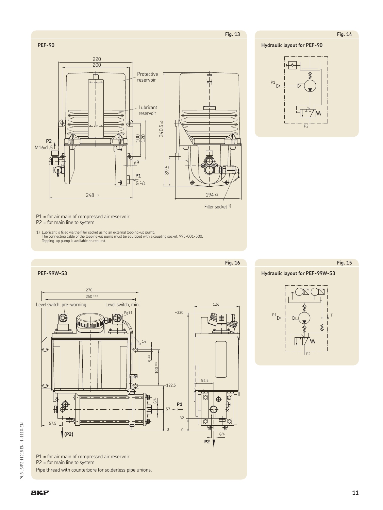**Fig. 14**

**Hydraulic layout for PEF-90**



P1 = for air main of compressed air reservoir

P2 = for main line to system

**PEF-90**

1) Lubricant is filled via the filler socket using an external topping-up pump. The connecting cable of the topping-up pump must be equipped with a coupling socket, 995-001-500. Topping-up pump is available on request.



P1 = for air main of compressed air reservoir P2 = for main line to system Pipe thread with counterbore for solderless pipe unions.



Filler socket <sup>1)</sup>

**Fig. 15**

**Hydraulic layout for PEF-99W-S3**